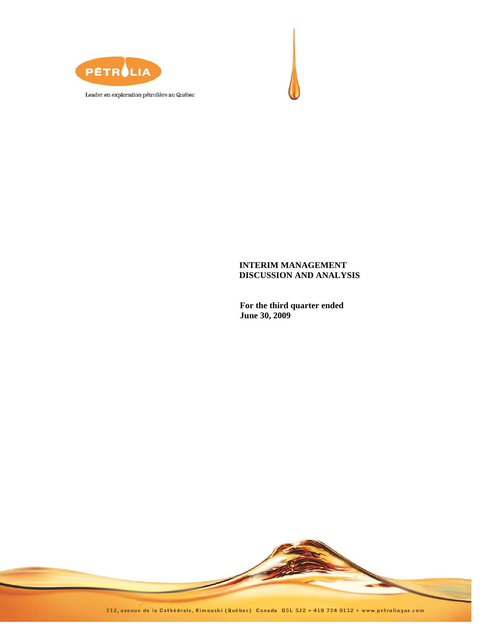



# **INTERIM MANAGEMENT DISCUSSION AND ANALYSIS**

**For the third quarter ended June 30, 2009** 

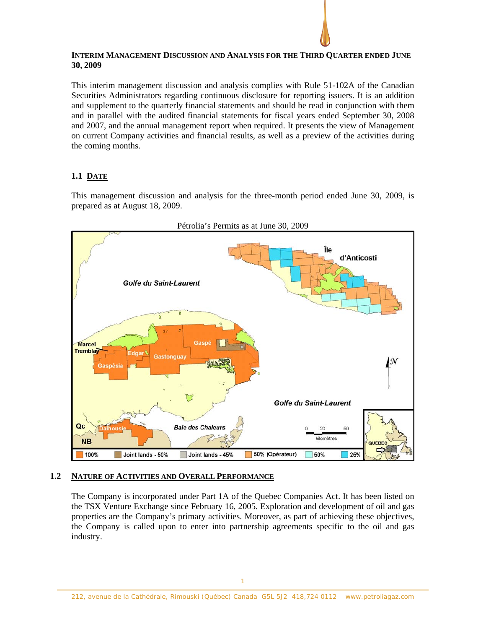## **INTERIM MANAGEMENT DISCUSSION AND ANALYSIS FOR THE THIRD QUARTER ENDED JUNE 30, 2009**

This interim management discussion and analysis complies with Rule 51-102A of the Canadian Securities Administrators regarding continuous disclosure for reporting issuers. It is an addition and supplement to the quarterly financial statements and should be read in conjunction with them and in parallel with the audited financial statements for fiscal years ended September 30, 2008 and 2007, and the annual management report when required. It presents the view of Management on current Company activities and financial results, as well as a preview of the activities during the coming months.

# **1.1 DATE**

This management discussion and analysis for the three-month period ended June 30, 2009, is prepared as at August 18, 2009.



# **1.2 NATURE OF ACTIVITIES AND OVERALL PERFORMANCE**

The Company is incorporated under Part 1A of the Quebec Companies Act. It has been listed on the TSX Venture Exchange since February 16, 2005. Exploration and development of oil and gas properties are the Company's primary activities. Moreover, as part of achieving these objectives, the Company is called upon to enter into partnership agreements specific to the oil and gas industry.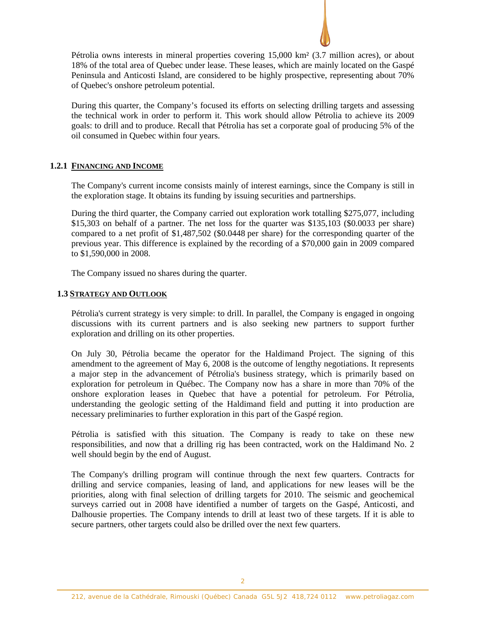

Pétrolia owns interests in mineral properties covering 15,000 km² (3.7 million acres), or about 18% of the total area of Quebec under lease. These leases, which are mainly located on the Gaspé Peninsula and Anticosti Island, are considered to be highly prospective, representing about 70% of Quebec's onshore petroleum potential.

During this quarter, the Company's focused its efforts on selecting drilling targets and assessing the technical work in order to perform it. This work should allow Pétrolia to achieve its 2009 goals: to drill and to produce. Recall that Pétrolia has set a corporate goal of producing 5% of the oil consumed in Quebec within four years.

# **1.2.1 FINANCING AND INCOME**

The Company's current income consists mainly of interest earnings, since the Company is still in the exploration stage. It obtains its funding by issuing securities and partnerships.

During the third quarter, the Company carried out exploration work totalling \$275,077, including \$15,303 on behalf of a partner. The net loss for the quarter was \$135,103 (\$0.0033 per share) compared to a net profit of \$1,487,502 (\$0.0448 per share) for the corresponding quarter of the previous year. This difference is explained by the recording of a \$70,000 gain in 2009 compared to \$1,590,000 in 2008.

The Company issued no shares during the quarter.

### **1.3 STRATEGY AND OUTLOOK**

Pétrolia's current strategy is very simple: to drill. In parallel, the Company is engaged in ongoing discussions with its current partners and is also seeking new partners to support further exploration and drilling on its other properties.

On July 30, Pétrolia became the operator for the Haldimand Project. The signing of this amendment to the agreement of May 6, 2008 is the outcome of lengthy negotiations. It represents a major step in the advancement of Pétrolia's business strategy, which is primarily based on exploration for petroleum in Québec. The Company now has a share in more than 70% of the onshore exploration leases in Quebec that have a potential for petroleum. For Pétrolia, understanding the geologic setting of the Haldimand field and putting it into production are necessary preliminaries to further exploration in this part of the Gaspé region.

Pétrolia is satisfied with this situation. The Company is ready to take on these new responsibilities, and now that a drilling rig has been contracted, work on the Haldimand No. 2 well should begin by the end of August.

The Company's drilling program will continue through the next few quarters. Contracts for drilling and service companies, leasing of land, and applications for new leases will be the priorities, along with final selection of drilling targets for 2010. The seismic and geochemical surveys carried out in 2008 have identified a number of targets on the Gaspé, Anticosti, and Dalhousie properties. The Company intends to drill at least two of these targets. If it is able to secure partners, other targets could also be drilled over the next few quarters.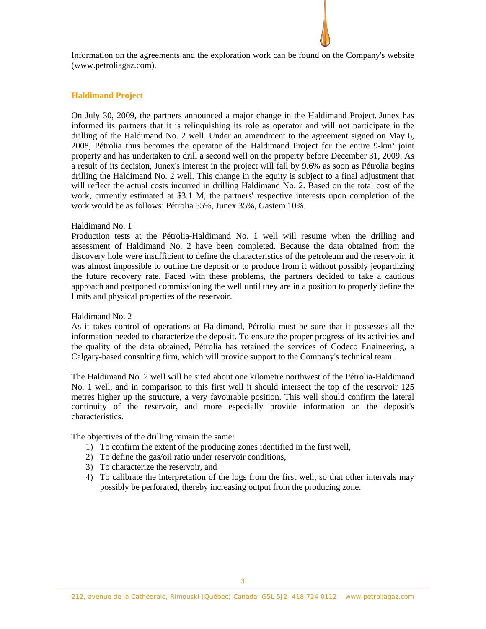Information on the agreements and the exploration work can be found on the Company's website (www.petroliagaz.com).

### **Haldimand Project**

On July 30, 2009, the partners announced a major change in the Haldimand Project. Junex has informed its partners that it is relinquishing its role as operator and will not participate in the drilling of the Haldimand No. 2 well. Under an amendment to the agreement signed on May 6, 2008, Pétrolia thus becomes the operator of the Haldimand Project for the entire 9-km² joint property and has undertaken to drill a second well on the property before December 31, 2009. As a result of its decision, Junex's interest in the project will fall by 9.6% as soon as Pétrolia begins drilling the Haldimand No. 2 well. This change in the equity is subject to a final adjustment that will reflect the actual costs incurred in drilling Haldimand No. 2. Based on the total cost of the work, currently estimated at \$3.1 M, the partners' respective interests upon completion of the work would be as follows: Pétrolia 55%, Junex 35%, Gastem 10%.

#### Haldimand No. 1

Production tests at the Pétrolia-Haldimand No. 1 well will resume when the drilling and assessment of Haldimand No. 2 have been completed. Because the data obtained from the discovery hole were insufficient to define the characteristics of the petroleum and the reservoir, it was almost impossible to outline the deposit or to produce from it without possibly jeopardizing the future recovery rate. Faced with these problems, the partners decided to take a cautious approach and postponed commissioning the well until they are in a position to properly define the limits and physical properties of the reservoir.

#### Haldimand No. 2

As it takes control of operations at Haldimand, Pétrolia must be sure that it possesses all the information needed to characterize the deposit. To ensure the proper progress of its activities and the quality of the data obtained, Pétrolia has retained the services of Codeco Engineering, a Calgary-based consulting firm, which will provide support to the Company's technical team.

The Haldimand No. 2 well will be sited about one kilometre northwest of the Pétrolia-Haldimand No. 1 well, and in comparison to this first well it should intersect the top of the reservoir 125 metres higher up the structure, a very favourable position. This well should confirm the lateral continuity of the reservoir, and more especially provide information on the deposit's characteristics.

The objectives of the drilling remain the same:

- 1) To confirm the extent of the producing zones identified in the first well,
- 2) To define the gas/oil ratio under reservoir conditions,
- 3) To characterize the reservoir, and
- 4) To calibrate the interpretation of the logs from the first well, so that other intervals may possibly be perforated, thereby increasing output from the producing zone.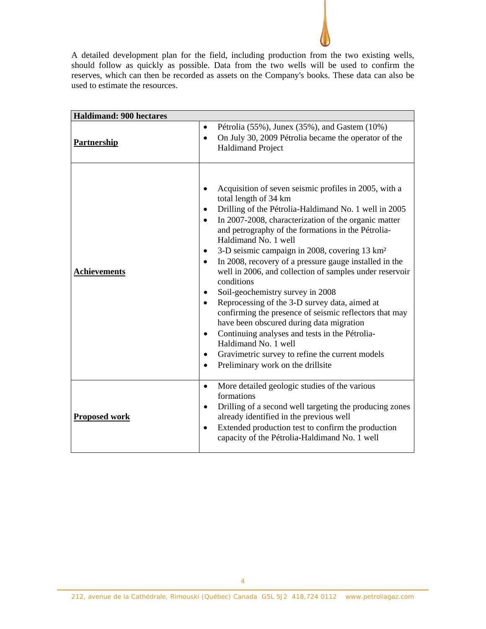A detailed development plan for the field, including production from the two existing wells, should follow as quickly as possible. Data from the two wells will be used to confirm the reserves, which can then be recorded as assets on the Company's books. These data can also be used to estimate the resources.

| <b>Haldimand: 900 hectares</b> |                                                                                                                                                                                                                                                                                                                                                                                                                                                                                                                                                                                                                                                                                                                                                                                                                                                                                                                                                 |
|--------------------------------|-------------------------------------------------------------------------------------------------------------------------------------------------------------------------------------------------------------------------------------------------------------------------------------------------------------------------------------------------------------------------------------------------------------------------------------------------------------------------------------------------------------------------------------------------------------------------------------------------------------------------------------------------------------------------------------------------------------------------------------------------------------------------------------------------------------------------------------------------------------------------------------------------------------------------------------------------|
| <b>Partnership</b>             | Pétrolia $(55\%)$ , Junex $(35\%)$ , and Gastem $(10\%)$<br>$\bullet$<br>On July 30, 2009 Pétrolia became the operator of the<br>$\bullet$<br><b>Haldimand Project</b>                                                                                                                                                                                                                                                                                                                                                                                                                                                                                                                                                                                                                                                                                                                                                                          |
| <b>Achievements</b>            | Acquisition of seven seismic profiles in 2005, with a<br>$\bullet$<br>total length of 34 km<br>Drilling of the Pétrolia-Haldimand No. 1 well in 2005<br>$\bullet$<br>In 2007-2008, characterization of the organic matter<br>$\bullet$<br>and petrography of the formations in the Pétrolia-<br>Haldimand No. 1 well<br>3-D seismic campaign in 2008, covering 13 km <sup>2</sup><br>٠<br>In 2008, recovery of a pressure gauge installed in the<br>$\bullet$<br>well in 2006, and collection of samples under reservoir<br>conditions<br>Soil-geochemistry survey in 2008<br>Reprocessing of the 3-D survey data, aimed at<br>$\bullet$<br>confirming the presence of seismic reflectors that may<br>have been obscured during data migration<br>Continuing analyses and tests in the Pétrolia-<br>$\bullet$<br>Haldimand No. 1 well<br>Gravimetric survey to refine the current models<br>$\bullet$<br>Preliminary work on the drillsite<br>٠ |
| <b>Proposed work</b>           | More detailed geologic studies of the various<br>$\bullet$<br>formations<br>Drilling of a second well targeting the producing zones<br>$\bullet$<br>already identified in the previous well<br>Extended production test to confirm the production<br>$\bullet$<br>capacity of the Pétrolia-Haldimand No. 1 well                                                                                                                                                                                                                                                                                                                                                                                                                                                                                                                                                                                                                                 |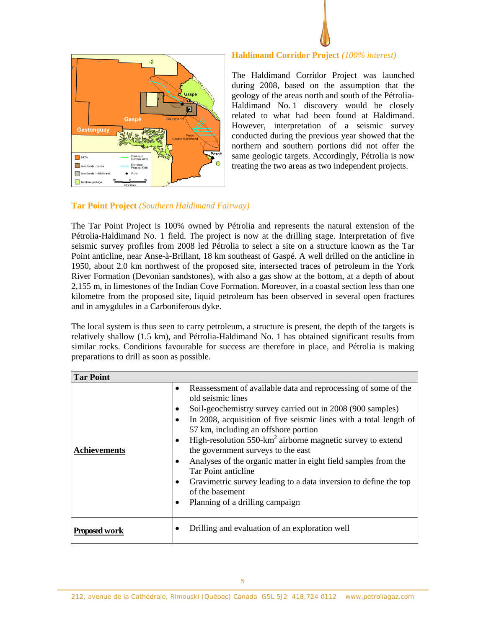

### **Haldimand Corridor Project** *(100% interest)*

The Haldimand Corridor Project was launched during 2008, based on the assumption that the geology of the areas north and south of the Pétrolia-Haldimand No. 1 discovery would be closely related to what had been found at Haldimand. However, interpretation of a seismic survey conducted during the previous year showed that the northern and southern portions did not offer the same geologic targets. Accordingly, Pétrolia is now treating the two areas as two independent projects.

# **Tar Point Project** *(Southern Haldimand Fairway)*

The Tar Point Project is 100% owned by Pétrolia and represents the natural extension of the Pétrolia-Haldimand No. 1 field. The project is now at the drilling stage. Interpretation of five seismic survey profiles from 2008 led Pétrolia to select a site on a structure known as the Tar Point anticline, near Anse-à-Brillant, 18 km southeast of Gaspé. A well drilled on the anticline in 1950, about 2.0 km northwest of the proposed site, intersected traces of petroleum in the York River Formation (Devonian sandstones), with also a gas show at the bottom, at a depth of about 2,155 m, in limestones of the Indian Cove Formation. Moreover, in a coastal section less than one kilometre from the proposed site, liquid petroleum has been observed in several open fractures and in amygdules in a Carboniferous dyke.

The local system is thus seen to carry petroleum, a structure is present, the depth of the targets is relatively shallow (1.5 km), and Pétrolia-Haldimand No. 1 has obtained significant results from similar rocks. Conditions favourable for success are therefore in place, and Pétrolia is making preparations to drill as soon as possible.

| <b>Tar Point</b>    |           |                                                                                                                                                                                                                                                                                                                                                                                                                                                                                                                                                                                                                 |
|---------------------|-----------|-----------------------------------------------------------------------------------------------------------------------------------------------------------------------------------------------------------------------------------------------------------------------------------------------------------------------------------------------------------------------------------------------------------------------------------------------------------------------------------------------------------------------------------------------------------------------------------------------------------------|
| <b>Achievements</b> | $\bullet$ | Reassessment of available data and reprocessing of some of the<br>old seismic lines<br>Soil-geochemistry survey carried out in 2008 (900 samples)<br>In 2008, acquisition of five seismic lines with a total length of<br>57 km, including an offshore portion<br>High-resolution $550 \text{-} \text{km}^2$ airborne magnetic survey to extend<br>the government surveys to the east<br>Analyses of the organic matter in eight field samples from the<br><b>Tar Point anticline</b><br>Gravimetric survey leading to a data inversion to define the top<br>of the basement<br>Planning of a drilling campaign |
| Proposed work       |           | Drilling and evaluation of an exploration well                                                                                                                                                                                                                                                                                                                                                                                                                                                                                                                                                                  |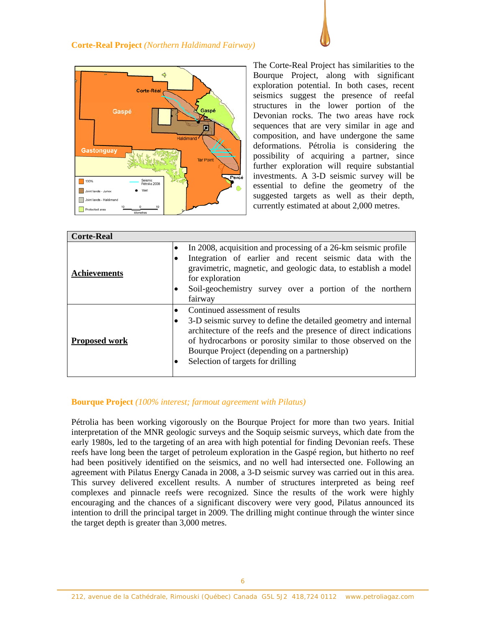

The Corte-Real Project has similarities to the Bourque Project, along with significant exploration potential. In both cases, recent seismics suggest the presence of reefal structures in the lower portion of the Devonian rocks. The two areas have rock sequences that are very similar in age and composition, and have undergone the same deformations. Pétrolia is considering the possibility of acquiring a partner, since further exploration will require substantial investments. A 3-D seismic survey will be essential to define the geometry of the suggested targets as well as their depth, currently estimated at about 2,000 metres.

| <b>Corte-Real</b>    |                                                                                                                                                                                                                                                                                                                                          |
|----------------------|------------------------------------------------------------------------------------------------------------------------------------------------------------------------------------------------------------------------------------------------------------------------------------------------------------------------------------------|
| <b>Achievements</b>  | In 2008, acquisition and processing of a 26-km seismic profile<br>$\bullet$<br>Integration of earlier and recent seismic data with the<br>gravimetric, magnetic, and geologic data, to establish a model<br>for exploration<br>Soil-geochemistry survey over a portion of the northern<br>fairway                                        |
| <b>Proposed work</b> | Continued assessment of results<br>$\bullet$<br>3-D seismic survey to define the detailed geometry and internal<br>architecture of the reefs and the presence of direct indications<br>of hydrocarbons or porosity similar to those observed on the<br>Bourque Project (depending on a partnership)<br>Selection of targets for drilling |

# **Bourque Project** *(100% interest; farmout agreement with Pilatus)*

Pétrolia has been working vigorously on the Bourque Project for more than two years. Initial interpretation of the MNR geologic surveys and the Soquip seismic surveys, which date from the early 1980s, led to the targeting of an area with high potential for finding Devonian reefs. These reefs have long been the target of petroleum exploration in the Gaspé region, but hitherto no reef had been positively identified on the seismics, and no well had intersected one. Following an agreement with Pilatus Energy Canada in 2008, a 3-D seismic survey was carried out in this area. This survey delivered excellent results. A number of structures interpreted as being reef complexes and pinnacle reefs were recognized. Since the results of the work were highly encouraging and the chances of a significant discovery were very good, Pilatus announced its intention to drill the principal target in 2009. The drilling might continue through the winter since the target depth is greater than 3,000 metres.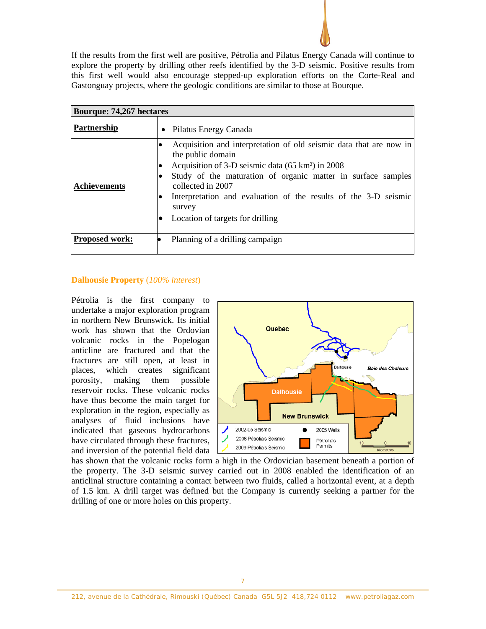

| <b>Bourque: 74,267 hectares</b> |                                                                                                                                                                                                                                                                                                                                                                             |
|---------------------------------|-----------------------------------------------------------------------------------------------------------------------------------------------------------------------------------------------------------------------------------------------------------------------------------------------------------------------------------------------------------------------------|
| <b>Partnership</b>              | • Pilatus Energy Canada                                                                                                                                                                                                                                                                                                                                                     |
| <b>Achievements</b>             | Acquisition and interpretation of old seismic data that are now in<br>the public domain<br>Acquisition of 3-D seismic data (65 km <sup>2</sup> ) in 2008<br>Study of the maturation of organic matter in surface samples<br>collected in 2007<br>Interpretation and evaluation of the results of the 3-D seismic<br>$\bullet$<br>survey<br>Location of targets for drilling |
| <b>Proposed work:</b>           | Planning of a drilling campaign                                                                                                                                                                                                                                                                                                                                             |

## **Dalhousie Property** (*100% interest*)

Pétrolia is the first company to undertake a major exploration program in northern New Brunswick. Its initial work has shown that the Ordovian volcanic rocks in the Popelogan anticline are fractured and that the fractures are still open, at least in places, which creates significant porosity, making them possible reservoir rocks. These volcanic rocks have thus become the main target for exploration in the region, especially as analyses of fluid inclusions have indicated that gaseous hydrocarbons have circulated through these fractures, and inversion of the potential field data



has shown that the volcanic rocks form a high in the Ordovician basement beneath a portion of the property. The 3-D seismic survey carried out in 2008 enabled the identification of an anticlinal structure containing a contact between two fluids, called a horizontal event, at a depth of 1.5 km. A drill target was defined but the Company is currently seeking a partner for the drilling of one or more holes on this property.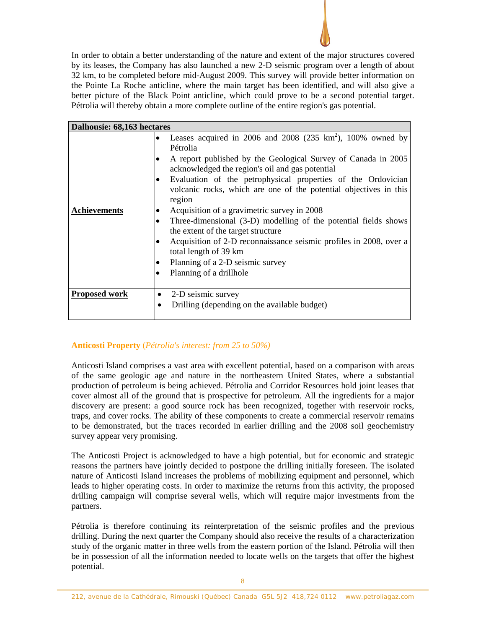In order to obtain a better understanding of the nature and extent of the major structures covered by its leases, the Company has also launched a new 2-D seismic program over a length of about 32 km, to be completed before mid-August 2009. This survey will provide better information on the Pointe La Roche anticline, where the main target has been identified, and will also give a better picture of the Black Point anticline, which could prove to be a second potential target. Pétrolia will thereby obtain a more complete outline of the entire region's gas potential.

|                                                                                                                                   | Dalhousie: 68,163 hectares                                                              |  |  |  |  |  |
|-----------------------------------------------------------------------------------------------------------------------------------|-----------------------------------------------------------------------------------------|--|--|--|--|--|
|                                                                                                                                   | Leases acquired in 2006 and 2008 (235 km <sup>2</sup> ), 100% owned by<br>٠<br>Pétrolia |  |  |  |  |  |
| A report published by the Geological Survey of Canada in 2005                                                                     | ٠                                                                                       |  |  |  |  |  |
| Evaluation of the petrophysical properties of the Ordovician<br>volcanic rocks, which are one of the potential objectives in this | $\bullet$                                                                               |  |  |  |  |  |
|                                                                                                                                   | <b>Achievements</b><br>$\bullet$                                                        |  |  |  |  |  |
| Three-dimensional (3-D) modelling of the potential fields shows                                                                   | $\bullet$                                                                               |  |  |  |  |  |
| Acquisition of 2-D reconnaissance seismic profiles in 2008, over a                                                                | ٠                                                                                       |  |  |  |  |  |
|                                                                                                                                   | ٠                                                                                       |  |  |  |  |  |
|                                                                                                                                   | ٠                                                                                       |  |  |  |  |  |
|                                                                                                                                   | ٠                                                                                       |  |  |  |  |  |
| Drilling (depending on the available budget)                                                                                      |                                                                                         |  |  |  |  |  |
| acknowledged the region's oil and gas potential<br>Acquisition of a gravimetric survey in 2008                                    | <b>Proposed work</b>                                                                    |  |  |  |  |  |

# **Anticosti Property** (*Pétrolia's interest: from 25 to 50%)*

Anticosti Island comprises a vast area with excellent potential, based on a comparison with areas of the same geologic age and nature in the northeastern United States, where a substantial production of petroleum is being achieved. Pétrolia and Corridor Resources hold joint leases that cover almost all of the ground that is prospective for petroleum. All the ingredients for a major discovery are present: a good source rock has been recognized, together with reservoir rocks, traps, and cover rocks. The ability of these components to create a commercial reservoir remains to be demonstrated, but the traces recorded in earlier drilling and the 2008 soil geochemistry survey appear very promising.

The Anticosti Project is acknowledged to have a high potential, but for economic and strategic reasons the partners have jointly decided to postpone the drilling initially foreseen. The isolated nature of Anticosti Island increases the problems of mobilizing equipment and personnel, which leads to higher operating costs. In order to maximize the returns from this activity, the proposed drilling campaign will comprise several wells, which will require major investments from the partners.

Pétrolia is therefore continuing its reinterpretation of the seismic profiles and the previous drilling. During the next quarter the Company should also receive the results of a characterization study of the organic matter in three wells from the eastern portion of the Island. Pétrolia will then be in possession of all the information needed to locate wells on the targets that offer the highest potential.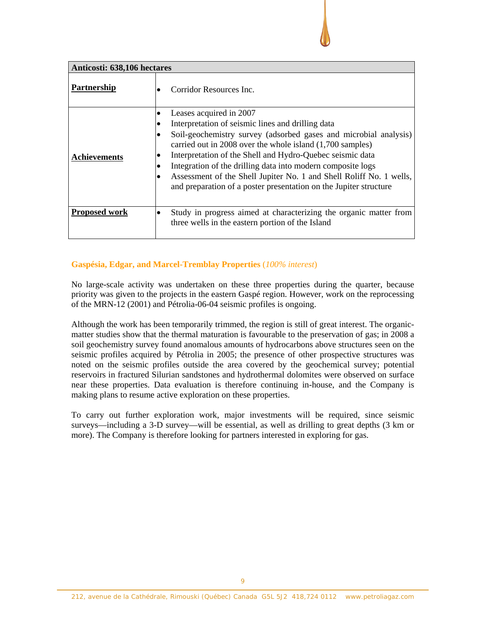| Anticosti: 638,106 hectares |                                                                                                                                                                                                                                                                                                                                                                                                                                                                                       |  |  |  |  |  |
|-----------------------------|---------------------------------------------------------------------------------------------------------------------------------------------------------------------------------------------------------------------------------------------------------------------------------------------------------------------------------------------------------------------------------------------------------------------------------------------------------------------------------------|--|--|--|--|--|
| Partnership                 | Corridor Resources Inc.                                                                                                                                                                                                                                                                                                                                                                                                                                                               |  |  |  |  |  |
| <b>Achievements</b>         | Leases acquired in 2007<br>Interpretation of seismic lines and drilling data<br>Soil-geochemistry survey (adsorbed gases and microbial analysis)<br>carried out in 2008 over the whole island (1,700 samples)<br>Interpretation of the Shell and Hydro-Quebec seismic data<br>Integration of the drilling data into modern composite logs<br>Assessment of the Shell Jupiter No. 1 and Shell Roliff No. 1 wells,<br>and preparation of a poster presentation on the Jupiter structure |  |  |  |  |  |
| <b>Proposed work</b>        | Study in progress aimed at characterizing the organic matter from<br>three wells in the eastern portion of the Island                                                                                                                                                                                                                                                                                                                                                                 |  |  |  |  |  |

# **Gaspésia, Edgar, and Marcel-Tremblay Properties** (*100% interest*)

No large-scale activity was undertaken on these three properties during the quarter, because priority was given to the projects in the eastern Gaspé region. However, work on the reprocessing of the MRN-12 (2001) and Pétrolia-06-04 seismic profiles is ongoing.

Although the work has been temporarily trimmed, the region is still of great interest. The organicmatter studies show that the thermal maturation is favourable to the preservation of gas; in 2008 a soil geochemistry survey found anomalous amounts of hydrocarbons above structures seen on the seismic profiles acquired by Pétrolia in 2005; the presence of other prospective structures was noted on the seismic profiles outside the area covered by the geochemical survey; potential reservoirs in fractured Silurian sandstones and hydrothermal dolomites were observed on surface near these properties. Data evaluation is therefore continuing in-house, and the Company is making plans to resume active exploration on these properties.

To carry out further exploration work, major investments will be required, since seismic surveys—including a 3-D survey—will be essential, as well as drilling to great depths (3 km or more). The Company is therefore looking for partners interested in exploring for gas.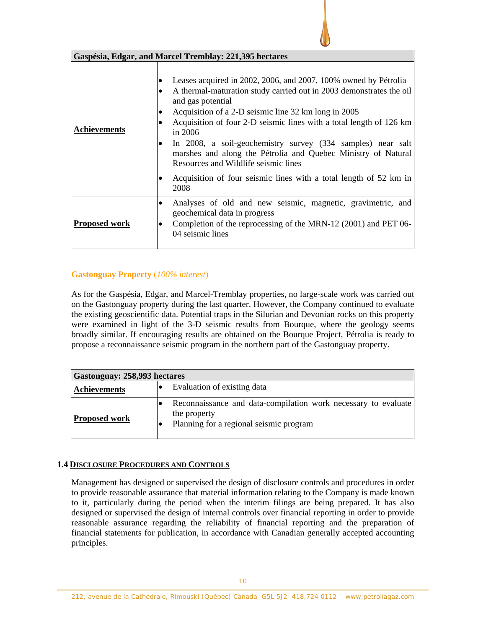| Gaspésia, Edgar, and Marcel Tremblay: 221,395 hectares |                                                                                                                                                                                                                                                                                                                                                                                                                                                                                                                                                            |  |  |  |  |
|--------------------------------------------------------|------------------------------------------------------------------------------------------------------------------------------------------------------------------------------------------------------------------------------------------------------------------------------------------------------------------------------------------------------------------------------------------------------------------------------------------------------------------------------------------------------------------------------------------------------------|--|--|--|--|
| <b>Achievements</b>                                    | Leases acquired in 2002, 2006, and 2007, 100% owned by Pétrolia<br>A thermal-maturation study carried out in 2003 demonstrates the oil<br>and gas potential<br>Acquisition of a 2-D seismic line 32 km long in 2005<br>Acquisition of four 2-D seismic lines with a total length of 126 km<br>in 2006<br>In 2008, a soil-geochemistry survey (334 samples) near salt<br>marshes and along the Pétrolia and Quebec Ministry of Natural<br>Resources and Wildlife seismic lines<br>Acquisition of four seismic lines with a total length of 52 km in<br>2008 |  |  |  |  |
| <b>Proposed work</b>                                   | Analyses of old and new seismic, magnetic, gravimetric, and<br>٠<br>geochemical data in progress<br>Completion of the reprocessing of the MRN-12 (2001) and PET 06-<br>04 seismic lines                                                                                                                                                                                                                                                                                                                                                                    |  |  |  |  |

# **Gastonguay Property** (*100% interest*)

As for the Gaspésia, Edgar, and Marcel-Tremblay properties, no large-scale work was carried out on the Gastonguay property during the last quarter. However, the Company continued to evaluate the existing geoscientific data. Potential traps in the Silurian and Devonian rocks on this property were examined in light of the 3-D seismic results from Bourque, where the geology seems broadly similar. If encouraging results are obtained on the Bourque Project, Pétrolia is ready to propose a reconnaissance seismic program in the northern part of the Gastonguay property.

| Gastonguay: 258,993 hectares |                             |                                                                                                                           |  |  |  |  |  |
|------------------------------|-----------------------------|---------------------------------------------------------------------------------------------------------------------------|--|--|--|--|--|
| <b>Achievements</b>          | Evaluation of existing data |                                                                                                                           |  |  |  |  |  |
| <b>Proposed work</b>         |                             | Reconnaissance and data-compilation work necessary to evaluate<br>the property<br>Planning for a regional seismic program |  |  |  |  |  |

# **1.4 DISCLOSURE PROCEDURES AND CONTROLS**

Management has designed or supervised the design of disclosure controls and procedures in order to provide reasonable assurance that material information relating to the Company is made known to it, particularly during the period when the interim filings are being prepared. It has also designed or supervised the design of internal controls over financial reporting in order to provide reasonable assurance regarding the reliability of financial reporting and the preparation of financial statements for publication, in accordance with Canadian generally accepted accounting principles.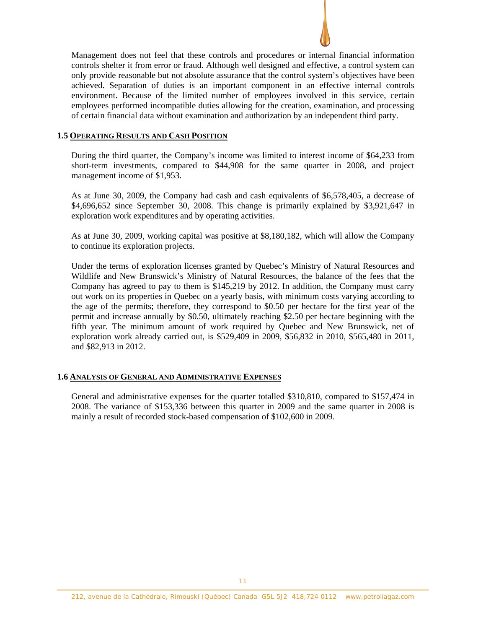

Management does not feel that these controls and procedures or internal financial information controls shelter it from error or fraud. Although well designed and effective, a control system can only provide reasonable but not absolute assurance that the control system's objectives have been achieved. Separation of duties is an important component in an effective internal controls environment. Because of the limited number of employees involved in this service, certain employees performed incompatible duties allowing for the creation, examination, and processing of certain financial data without examination and authorization by an independent third party.

### **1.5 OPERATING RESULTS AND CASH POSITION**

During the third quarter, the Company's income was limited to interest income of \$64,233 from short-term investments, compared to \$44,908 for the same quarter in 2008, and project management income of \$1,953.

As at June 30, 2009, the Company had cash and cash equivalents of \$6,578,405, a decrease of \$4,696,652 since September 30, 2008. This change is primarily explained by \$3,921,647 in exploration work expenditures and by operating activities.

As at June 30, 2009, working capital was positive at \$8,180,182, which will allow the Company to continue its exploration projects.

Under the terms of exploration licenses granted by Quebec's Ministry of Natural Resources and Wildlife and New Brunswick's Ministry of Natural Resources, the balance of the fees that the Company has agreed to pay to them is \$145,219 by 2012. In addition, the Company must carry out work on its properties in Quebec on a yearly basis, with minimum costs varying according to the age of the permits; therefore, they correspond to \$0.50 per hectare for the first year of the permit and increase annually by \$0.50, ultimately reaching \$2.50 per hectare beginning with the fifth year. The minimum amount of work required by Quebec and New Brunswick, net of exploration work already carried out, is \$529,409 in 2009, \$56,832 in 2010, \$565,480 in 2011, and \$82,913 in 2012.

# **1.6 ANALYSIS OF GENERAL AND ADMINISTRATIVE EXPENSES**

General and administrative expenses for the quarter totalled \$310,810, compared to \$157,474 in 2008. The variance of \$153,336 between this quarter in 2009 and the same quarter in 2008 is mainly a result of recorded stock-based compensation of \$102,600 in 2009.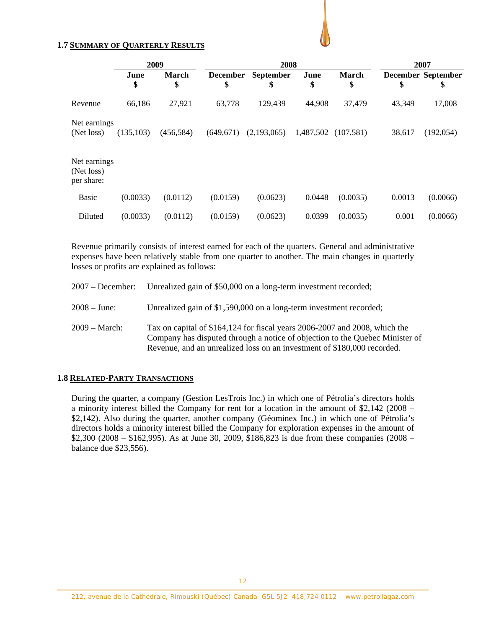## **1.7 SUMMARY OF QUARTERLY RESULTS**

|                                          | 2009       |                    | 2008                  |                 |            |                    | 2007   |                                 |  |
|------------------------------------------|------------|--------------------|-----------------------|-----------------|------------|--------------------|--------|---------------------------------|--|
|                                          | June<br>\$ | <b>March</b><br>\$ | <b>December</b><br>\$ | September<br>\$ | June<br>\$ | <b>March</b><br>\$ | \$     | <b>December September</b><br>\$ |  |
| Revenue                                  | 66,186     | 27,921             | 63,778                | 129,439         | 44,908     | 37,479             | 43,349 | 17,008                          |  |
| Net earnings<br>(Net loss)               | (135,103)  | (456,584)          | (649, 671)            | (2,193,065)     | 1,487,502  | (107,581)          | 38,617 | (192, 054)                      |  |
| Net earnings<br>(Net loss)<br>per share: |            |                    |                       |                 |            |                    |        |                                 |  |
| <b>Basic</b>                             | (0.0033)   | (0.0112)           | (0.0159)              | (0.0623)        | 0.0448     | (0.0035)           | 0.0013 | (0.0066)                        |  |
| Diluted                                  | (0.0033)   | (0.0112)           | (0.0159)              | (0.0623)        | 0.0399     | (0.0035)           | 0.001  | (0.0066)                        |  |

Revenue primarily consists of interest earned for each of the quarters. General and administrative expenses have been relatively stable from one quarter to another. The main changes in quarterly losses or profits are explained as follows:

|                 | 2007 – December: Unrealized gain of \$50,000 on a long-term investment recorded;                                                                                                                                                      |
|-----------------|---------------------------------------------------------------------------------------------------------------------------------------------------------------------------------------------------------------------------------------|
| $2008 - June:$  | Unrealized gain of \$1,590,000 on a long-term investment recorded;                                                                                                                                                                    |
| $2009 - March:$ | Tax on capital of \$164,124 for fiscal years 2006-2007 and 2008, which the<br>Company has disputed through a notice of objection to the Quebec Minister of<br>Revenue, and an unrealized loss on an investment of \$180,000 recorded. |

### **1.8 RELATED-PARTY TRANSACTIONS**

During the quarter, a company (Gestion LesTrois Inc.) in which one of Pétrolia's directors holds a minority interest billed the Company for rent for a location in the amount of \$2,142 (2008 – \$2,142). Also during the quarter, another company (Géominex Inc.) in which one of Pétrolia's directors holds a minority interest billed the Company for exploration expenses in the amount of \$2,300 (2008 – \$162,995). As at June 30, 2009, \$186,823 is due from these companies (2008 – balance due \$23,556).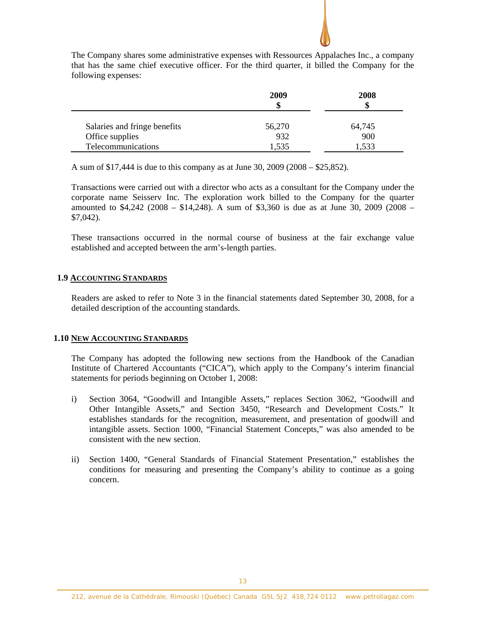

|                              | 2009   | 2008   |
|------------------------------|--------|--------|
|                              | ъ      |        |
|                              |        |        |
| Salaries and fringe benefits | 56,270 | 64,745 |
| Office supplies              | 932    | 900    |
| Telecommunications           | .535   | 1,533  |

A sum of \$17,444 is due to this company as at June 30, 2009 (2008 – \$25,852).

Transactions were carried out with a director who acts as a consultant for the Company under the corporate name Seisserv Inc. The exploration work billed to the Company for the quarter amounted to \$4,242 (2008 – \$14,248). A sum of \$3,360 is due as at June 30, 2009 (2008 – \$7,042).

These transactions occurred in the normal course of business at the fair exchange value established and accepted between the arm's-length parties.

## **1.9 ACCOUNTING STANDARDS**

Readers are asked to refer to Note 3 in the financial statements dated September 30, 2008, for a detailed description of the accounting standards.

### **1.10 NEW ACCOUNTING STANDARDS**

The Company has adopted the following new sections from the Handbook of the Canadian Institute of Chartered Accountants ("CICA"), which apply to the Company's interim financial statements for periods beginning on October 1, 2008:

- i) Section 3064, "Goodwill and Intangible Assets," replaces Section 3062, "Goodwill and Other Intangible Assets," and Section 3450, "Research and Development Costs." It establishes standards for the recognition, measurement, and presentation of goodwill and intangible assets. Section 1000, "Financial Statement Concepts," was also amended to be consistent with the new section.
- ii) Section 1400, "General Standards of Financial Statement Presentation," establishes the conditions for measuring and presenting the Company's ability to continue as a going concern.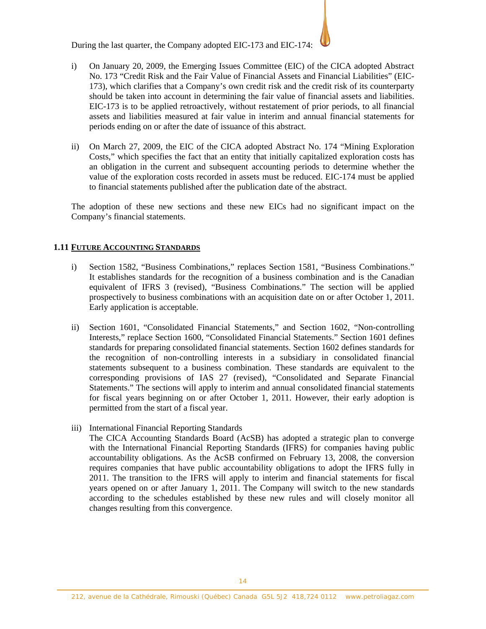During the last quarter, the Company adopted EIC-173 and EIC-174:

- i) On January 20, 2009, the Emerging Issues Committee (EIC) of the CICA adopted Abstract No. 173 "Credit Risk and the Fair Value of Financial Assets and Financial Liabilities" (EIC-173), which clarifies that a Company's own credit risk and the credit risk of its counterparty should be taken into account in determining the fair value of financial assets and liabilities. EIC-173 is to be applied retroactively, without restatement of prior periods, to all financial assets and liabilities measured at fair value in interim and annual financial statements for periods ending on or after the date of issuance of this abstract.
- ii) On March 27, 2009, the EIC of the CICA adopted Abstract No. 174 "Mining Exploration Costs," which specifies the fact that an entity that initially capitalized exploration costs has an obligation in the current and subsequent accounting periods to determine whether the value of the exploration costs recorded in assets must be reduced. EIC-174 must be applied to financial statements published after the publication date of the abstract.

The adoption of these new sections and these new EICs had no significant impact on the Company's financial statements.

# **1.11 FUTURE ACCOUNTING STANDARDS**

- i) Section 1582, "Business Combinations," replaces Section 1581, "Business Combinations." It establishes standards for the recognition of a business combination and is the Canadian equivalent of IFRS 3 (revised), "Business Combinations." The section will be applied prospectively to business combinations with an acquisition date on or after October 1, 2011. Early application is acceptable.
- ii) Section 1601, "Consolidated Financial Statements," and Section 1602, "Non-controlling Interests," replace Section 1600, "Consolidated Financial Statements." Section 1601 defines standards for preparing consolidated financial statements. Section 1602 defines standards for the recognition of non-controlling interests in a subsidiary in consolidated financial statements subsequent to a business combination. These standards are equivalent to the corresponding provisions of IAS 27 (revised), "Consolidated and Separate Financial Statements." The sections will apply to interim and annual consolidated financial statements for fiscal years beginning on or after October 1, 2011. However, their early adoption is permitted from the start of a fiscal year.
- iii) International Financial Reporting Standards

The CICA Accounting Standards Board (AcSB) has adopted a strategic plan to converge with the International Financial Reporting Standards (IFRS) for companies having public accountability obligations. As the AcSB confirmed on February 13, 2008, the conversion requires companies that have public accountability obligations to adopt the IFRS fully in 2011. The transition to the IFRS will apply to interim and financial statements for fiscal years opened on or after January 1, 2011. The Company will switch to the new standards according to the schedules established by these new rules and will closely monitor all changes resulting from this convergence.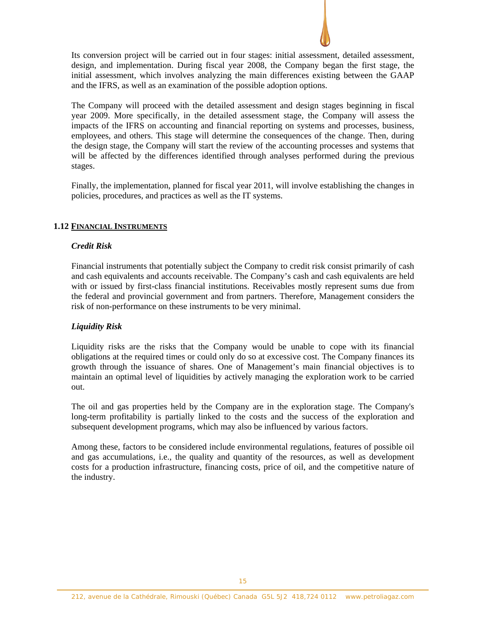

Its conversion project will be carried out in four stages: initial assessment, detailed assessment, design, and implementation. During fiscal year 2008, the Company began the first stage, the initial assessment, which involves analyzing the main differences existing between the GAAP and the IFRS, as well as an examination of the possible adoption options.

The Company will proceed with the detailed assessment and design stages beginning in fiscal year 2009. More specifically, in the detailed assessment stage, the Company will assess the impacts of the IFRS on accounting and financial reporting on systems and processes, business, employees, and others. This stage will determine the consequences of the change. Then, during the design stage, the Company will start the review of the accounting processes and systems that will be affected by the differences identified through analyses performed during the previous stages.

Finally, the implementation, planned for fiscal year 2011, will involve establishing the changes in policies, procedures, and practices as well as the IT systems.

## **1.12 FINANCIAL INSTRUMENTS**

## *Credit Risk*

Financial instruments that potentially subject the Company to credit risk consist primarily of cash and cash equivalents and accounts receivable. The Company's cash and cash equivalents are held with or issued by first-class financial institutions. Receivables mostly represent sums due from the federal and provincial government and from partners. Therefore, Management considers the risk of non-performance on these instruments to be very minimal.

# *Liquidity Risk*

Liquidity risks are the risks that the Company would be unable to cope with its financial obligations at the required times or could only do so at excessive cost. The Company finances its growth through the issuance of shares. One of Management's main financial objectives is to maintain an optimal level of liquidities by actively managing the exploration work to be carried out.

The oil and gas properties held by the Company are in the exploration stage. The Company's long-term profitability is partially linked to the costs and the success of the exploration and subsequent development programs, which may also be influenced by various factors.

Among these, factors to be considered include environmental regulations, features of possible oil and gas accumulations, i.e., the quality and quantity of the resources, as well as development costs for a production infrastructure, financing costs, price of oil, and the competitive nature of the industry.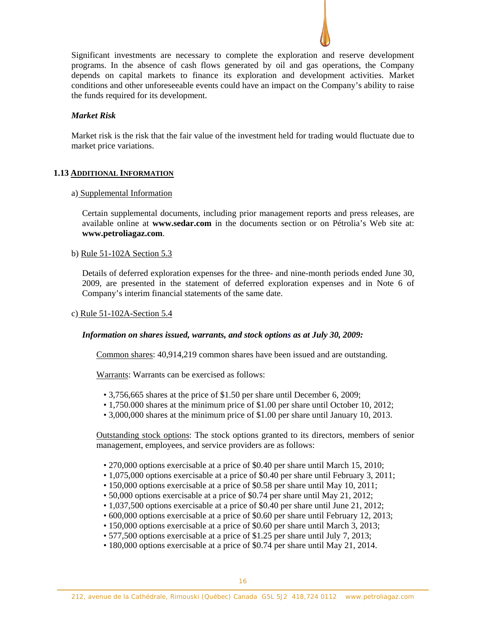

## *Market Risk*

Market risk is the risk that the fair value of the investment held for trading would fluctuate due to market price variations.

## **1.13 ADDITIONAL INFORMATION**

### a) Supplemental Information

Certain supplemental documents, including prior management reports and press releases, are available online at **www.sedar.com** in the documents section or on Pétrolia's Web site at: **www.petroliagaz.com**.

### b) Rule 51-102A Section 5.3

Details of deferred exploration expenses for the three- and nine-month periods ended June 30, 2009, are presented in the statement of deferred exploration expenses and in Note 6 of Company's interim financial statements of the same date.

### c) Rule 51-102A-Section 5.4

### *Information on shares issued, warrants, and stock options as at July 30, 2009:*

Common shares: 40,914,219 common shares have been issued and are outstanding.

Warrants: Warrants can be exercised as follows:

- 3,756,665 shares at the price of \$1.50 per share until December 6, 2009;
- 1,750.000 shares at the minimum price of \$1.00 per share until October 10, 2012;
- 3,000,000 shares at the minimum price of \$1.00 per share until January 10, 2013.

Outstanding stock options: The stock options granted to its directors, members of senior management, employees, and service providers are as follows:

- 270,000 options exercisable at a price of \$0.40 per share until March 15, 2010;
- 1,075,000 options exercisable at a price of \$0.40 per share until February 3, 2011;
- 150,000 options exercisable at a price of \$0.58 per share until May 10, 2011;
- 50,000 options exercisable at a price of \$0.74 per share until May 21, 2012;
- 1,037,500 options exercisable at a price of \$0.40 per share until June 21, 2012;
- 600,000 options exercisable at a price of \$0.60 per share until February 12, 2013;
- 150,000 options exercisable at a price of \$0.60 per share until March 3, 2013;
- 577,500 options exercisable at a price of \$1.25 per share until July 7, 2013;
- 180,000 options exercisable at a price of \$0.74 per share until May 21, 2014.